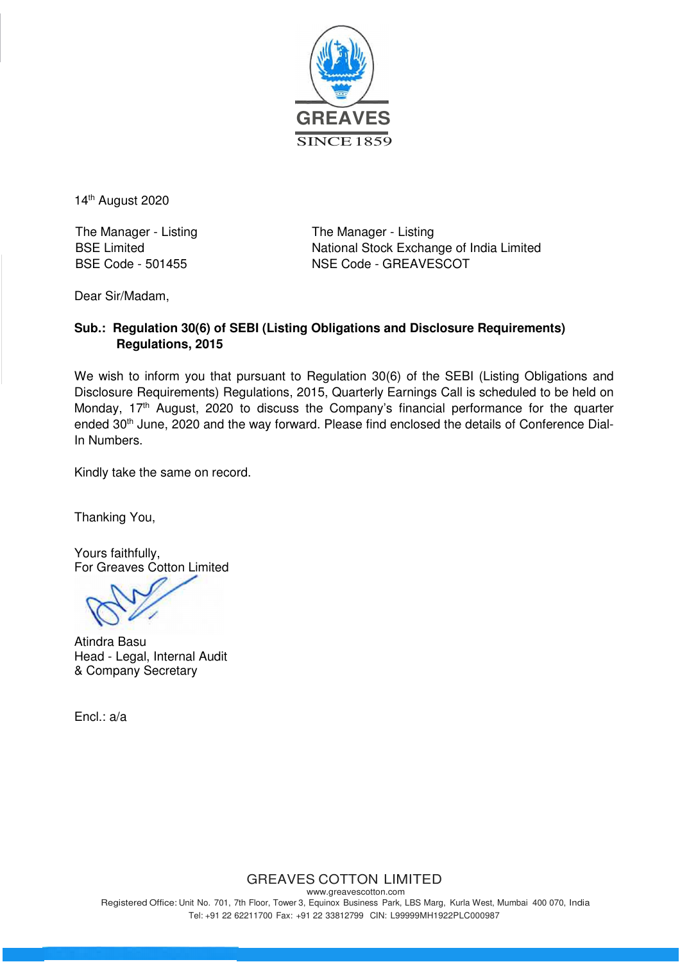

14<sup>th</sup> August 2020

The Manager - Listing The Manager - Listing

BSE Limited National Stock Exchange of India Limited BSE Code - 501455 NSE Code - GREAVESCOT

Dear Sir/Madam,

## **Sub.: Regulation 30(6) of SEBI (Listing Obligations and Disclosure Requirements) Regulations, 2015**

We wish to inform you that pursuant to Regulation 30(6) of the SEBI (Listing Obligations and Disclosure Requirements) Regulations, 2015, Quarterly Earnings Call is scheduled to be held on Monday, 17<sup>th</sup> August, 2020 to discuss the Company's financial performance for the quarter ended 30<sup>th</sup> June, 2020 and the way forward. Please find enclosed the details of Conference Dial-In Numbers.

Kindly take the same on record.

Thanking You,

Yours faithfully, For Greaves Cotton Limited

Atindra Basu Head - Legal, Internal Audit & Company Secretary

Encl.: a/a

## GREAVES COTTON LIMITED

www.greavescotton.com Registered Office: Unit No. 701, 7th Floor, Tower 3, Equinox Business Park, LBS Marg, Kurla West, Mumbai 400 070, India Tel: +91 22 62211700 Fax: +91 22 33812799 CIN: L99999MH1922PLC000987